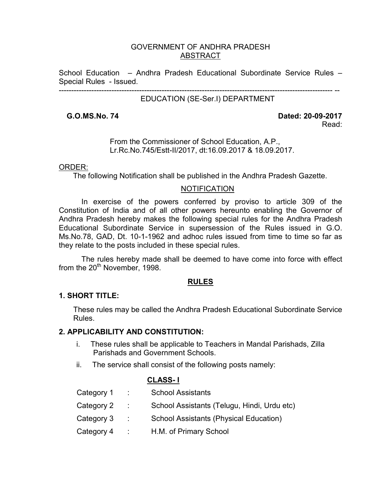#### GOVERNMENT OF ANDHRA PRADESH ABSTRACT

School Education – Andhra Pradesh Educational Subordinate Service Rules – Special Rules - Issued.

------------------------------------------------------------------------------------------------------------- --

#### EDUCATION (SE-Ser.I) DEPARTMENT

**G.O.MS.No. 74 Dated: 20-09-2017** Read:

#### From the Commissioner of School Education, A.P., Lr.Rc.No.745/Estt-II/2017, dt:16.09.2017 & 18.09.2017.

#### ORDER:

The following Notification shall be published in the Andhra Pradesh Gazette.

#### **NOTIFICATION**

In exercise of the powers conferred by proviso to article 309 of the Constitution of India and of all other powers hereunto enabling the Governor of Andhra Pradesh hereby makes the following special rules for the Andhra Pradesh Educational Subordinate Service in supersession of the Rules issued in G.O. Ms.No.78, GAD, Dt. 10-1-1962 and adhoc rules issued from time to time so far as they relate to the posts included in these special rules.

 The rules hereby made shall be deemed to have come into force with effect from the 20<sup>th</sup> November, 1998.

# **RULES**

# **1. SHORT TITLE:**

These rules may be called the Andhra Pradesh Educational Subordinate Service Rules.

# **2. APPLICABILITY AND CONSTITUTION:**

- i. These rules shall be applicable to Teachers in Mandal Parishads, Zilla Parishads and Government Schools.
- ii. The service shall consist of the following posts namely:

# **CLASS- I**

| Category 1 |                | <b>School Assistants</b>                      |
|------------|----------------|-----------------------------------------------|
| Category 2 |                | School Assistants (Telugu, Hindi, Urdu etc)   |
| Category 3 | ÷.             | <b>School Assistants (Physical Education)</b> |
| Category 4 | $\mathbb{R}^n$ | H.M. of Primary School                        |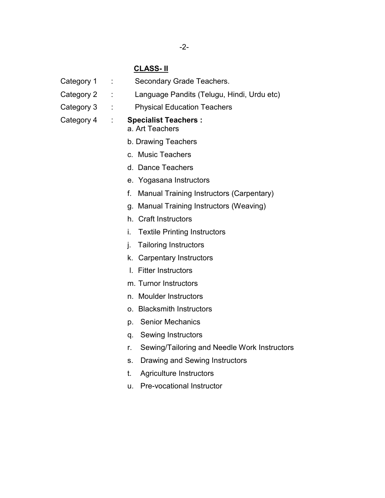#### -2-

#### **CLASS- II**

| Category 1 |  | Secondary Grade Teachers. |  |
|------------|--|---------------------------|--|
|------------|--|---------------------------|--|

- Category 2 : Language Pandits (Telugu, Hindi, Urdu etc)
- Category 3 : Physical Education Teachers
- Category 4 : **Specialist Teachers :** 
	- a. Art Teachers
	- b. Drawing Teachers
	- c. Music Teachers
	- d. Dance Teachers
	- e. Yogasana Instructors
	- f. Manual Training Instructors (Carpentary)
	- g. Manual Training Instructors (Weaving)
	- h. Craft Instructors
	- i. Textile Printing Instructors
	- j. Tailoring Instructors
	- k. Carpentary Instructors
	- l. Fitter Instructors
	- m. Turnor Instructors
	- n. Moulder Instructors
	- o. Blacksmith Instructors
	- p. Senior Mechanics
	- q. Sewing Instructors
	- r. Sewing/Tailoring and Needle Work Instructors
	- s. Drawing and Sewing Instructors
	- t. Agriculture Instructors
	- u. Pre-vocational Instructor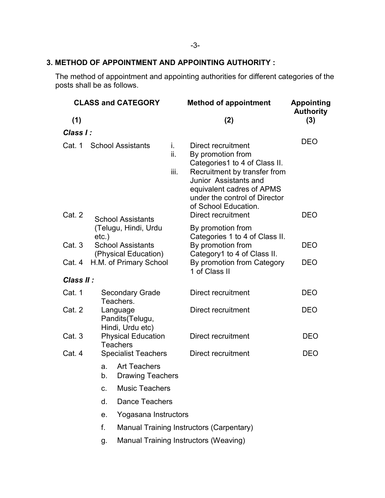# **3. METHOD OF APPOINTMENT AND APPOINTING AUTHORITY :**

The method of appointment and appointing authorities for different categories of the posts shall be as follows.

| <b>CLASS and CATEGORY</b> |          |                                                  |                   | <b>Method of appointment</b>                                                                                                                                                                                                                  | <b>Appointing</b><br><b>Authority</b> |  |
|---------------------------|----------|--------------------------------------------------|-------------------|-----------------------------------------------------------------------------------------------------------------------------------------------------------------------------------------------------------------------------------------------|---------------------------------------|--|
| (1)                       |          |                                                  |                   | (2)                                                                                                                                                                                                                                           | (3)                                   |  |
| Class I:                  |          |                                                  |                   |                                                                                                                                                                                                                                               |                                       |  |
| Cat. 1<br>Cat.2           |          | <b>School Assistants</b>                         | i.<br>ii.<br>iii. | Direct recruitment<br>By promotion from<br>Categories1 to 4 of Class II.<br>Recruitment by transfer from<br>Junior Assistants and<br>equivalent cadres of APMS<br>under the control of Director<br>of School Education.<br>Direct recruitment | <b>DEO</b><br><b>DEO</b>              |  |
|                           | $etc.$ ) | <b>School Assistants</b><br>(Telugu, Hindi, Urdu |                   | By promotion from<br>Categories 1 to 4 of Class II.                                                                                                                                                                                           |                                       |  |
| Cat. 3                    |          | <b>School Assistants</b><br>(Physical Education) |                   | By promotion from<br>Category1 to 4 of Class II.                                                                                                                                                                                              | <b>DEO</b>                            |  |
| Cat. 4                    |          | H.M. of Primary School                           |                   | By promotion from Category<br>1 of Class II                                                                                                                                                                                                   | <b>DEO</b>                            |  |
| Class II:                 |          |                                                  |                   |                                                                                                                                                                                                                                               |                                       |  |
| Cat. 1                    |          | <b>Secondary Grade</b><br>Teachers.              |                   | Direct recruitment                                                                                                                                                                                                                            | <b>DEO</b>                            |  |
| Cat. 2                    |          | Language<br>Pandits(Telugu,<br>Hindi, Urdu etc)  |                   | Direct recruitment                                                                                                                                                                                                                            | <b>DEO</b>                            |  |
| Cat.3                     |          | <b>Physical Education</b><br><b>Teachers</b>     |                   | Direct recruitment                                                                                                                                                                                                                            | <b>DEO</b>                            |  |
| Cat. 4                    |          | <b>Specialist Teachers</b>                       |                   | Direct recruitment                                                                                                                                                                                                                            | <b>DEO</b>                            |  |
|                           | a.<br>b. | <b>Art Teachers</b><br><b>Drawing Teachers</b>   |                   |                                                                                                                                                                                                                                               |                                       |  |
|                           | C.       | <b>Music Teachers</b>                            |                   |                                                                                                                                                                                                                                               |                                       |  |
|                           | d.       | Dance Teachers                                   |                   |                                                                                                                                                                                                                                               |                                       |  |
|                           | е.       | Yogasana Instructors                             |                   |                                                                                                                                                                                                                                               |                                       |  |
|                           | f.       |                                                  |                   | <b>Manual Training Instructors (Carpentary)</b>                                                                                                                                                                                               |                                       |  |
|                           | g.       |                                                  |                   | Manual Training Instructors (Weaving)                                                                                                                                                                                                         |                                       |  |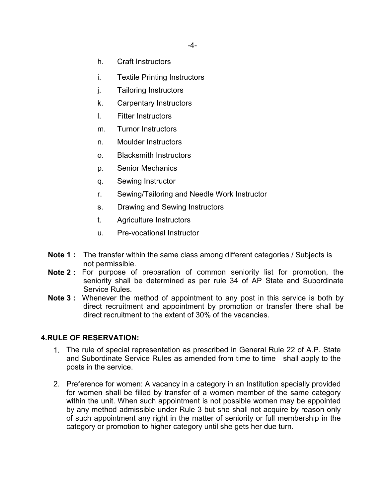- h. Craft Instructors
- i. Textile Printing Instructors
- j. Tailoring Instructors
- k. Carpentary Instructors
- l. Fitter Instructors
- m. Turnor Instructors
- n. Moulder Instructors
- o. Blacksmith Instructors
- p. Senior Mechanics
- q. Sewing Instructor
- r. Sewing/Tailoring and Needle Work Instructor
- s. Drawing and Sewing Instructors
- t. Agriculture Instructors
- u. Pre-vocational Instructor
- **Note 1 :** The transfer within the same class among different categories / Subjects is not permissible.
- **Note 2 :** For purpose of preparation of common seniority list for promotion, the seniority shall be determined as per rule 34 of AP State and Subordinate Service Rules.
- **Note 3 :** Whenever the method of appointment to any post in this service is both by direct recruitment and appointment by promotion or transfer there shall be direct recruitment to the extent of 30% of the vacancies.

#### **4.RULE OF RESERVATION:**

- 1. The rule of special representation as prescribed in General Rule 22 of A.P. State and Subordinate Service Rules as amended from time to time shall apply to the posts in the service.
- 2. Preference for women: A vacancy in a category in an Institution specially provided for women shall be filled by transfer of a women member of the same category within the unit. When such appointment is not possible women may be appointed by any method admissible under Rule 3 but she shall not acquire by reason only of such appointment any right in the matter of seniority or full membership in the category or promotion to higher category until she gets her due turn.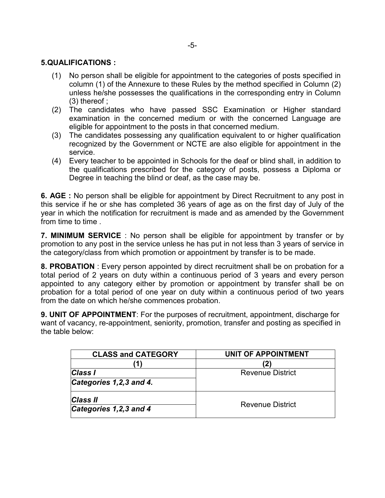### **5.QUALIFICATIONS :**

- (1) No person shall be eligible for appointment to the categories of posts specified in column (1) of the Annexure to these Rules by the method specified in Column (2) unless he/she possesses the qualifications in the corresponding entry in Column (3) thereof ;
- (2) The candidates who have passed SSC Examination or Higher standard examination in the concerned medium or with the concerned Language are eligible for appointment to the posts in that concerned medium.
- (3) The candidates possessing any qualification equivalent to or higher qualification recognized by the Government or NCTE are also eligible for appointment in the service.
- (4) Every teacher to be appointed in Schools for the deaf or blind shall, in addition to the qualifications prescribed for the category of posts, possess a Diploma or Degree in teaching the blind or deaf, as the case may be.

**6. AGE :** No person shall be eligible for appointment by Direct Recruitment to any post in this service if he or she has completed 36 years of age as on the first day of July of the year in which the notification for recruitment is made and as amended by the Government from time to time.

**7. MINIMUM SERVICE** : No person shall be eligible for appointment by transfer or by promotion to any post in the service unless he has put in not less than 3 years of service in the category/class from which promotion or appointment by transfer is to be made.

**8. PROBATION** : Every person appointed by direct recruitment shall be on probation for a total period of 2 years on duty within a continuous period of 3 years and every person appointed to any category either by promotion or appointment by transfer shall be on probation for a total period of one year on duty within a continuous period of two years from the date on which he/she commences probation.

**9. UNIT OF APPOINTMENT**: For the purposes of recruitment, appointment, discharge for want of vacancy, re-appointment, seniority, promotion, transfer and posting as specified in the table below:

| <b>CLASS and CATEGORY</b> | UNIT OF APPOINTMENT     |
|---------------------------|-------------------------|
|                           |                         |
| Class I                   | <b>Revenue District</b> |
| Categories 1, 2, 3 and 4. |                         |
| <b>Class II</b>           | <b>Revenue District</b> |
| Categories 1,2,3 and 4    |                         |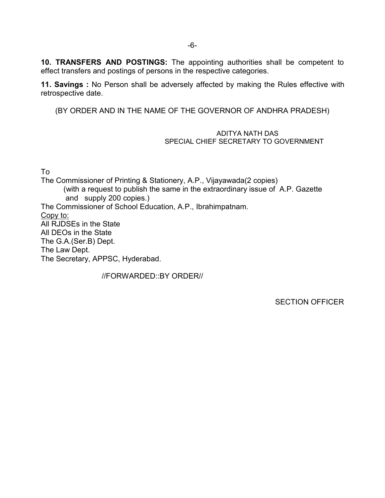-6-

**10. TRANSFERS AND POSTINGS:** The appointing authorities shall be competent to effect transfers and postings of persons in the respective categories.

**11. Savings :** No Person shall be adversely affected by making the Rules effective with retrospective date.

(BY ORDER AND IN THE NAME OF THE GOVERNOR OF ANDHRA PRADESH)

#### ADITYA NATH DAS SPECIAL CHIEF SECRETARY TO GOVERNMENT

To

The Commissioner of Printing & Stationery, A.P., Vijayawada(2 copies) (with a request to publish the same in the extraordinary issue of A.P. Gazette and supply 200 copies.) The Commissioner of School Education, A.P., Ibrahimpatnam. Copy to: All RJDSEs in the State All DEOs in the State The G.A.(Ser.B) Dept. The Law Dept. The Secretary, APPSC, Hyderabad.

//FORWARDED::BY ORDER//

SECTION OFFICER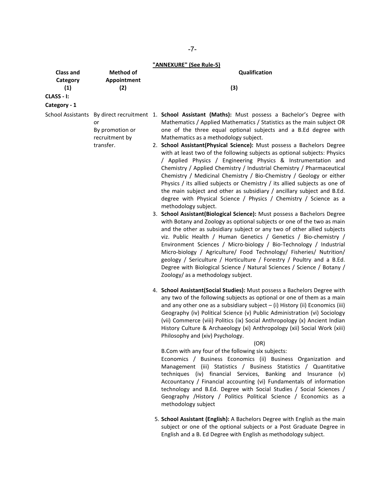-7-

|--|

| <b>Class and</b> | <b>Method of</b>                                     | Qualification                                                                                                                                                                                                                                                                                                                                                                                                                                                                                                                                                                                                                                                                                                                                                                                                                                                                                                                                                                                                                                                                                                                                                                                                                                                                                                                                                                                                                                           |
|------------------|------------------------------------------------------|---------------------------------------------------------------------------------------------------------------------------------------------------------------------------------------------------------------------------------------------------------------------------------------------------------------------------------------------------------------------------------------------------------------------------------------------------------------------------------------------------------------------------------------------------------------------------------------------------------------------------------------------------------------------------------------------------------------------------------------------------------------------------------------------------------------------------------------------------------------------------------------------------------------------------------------------------------------------------------------------------------------------------------------------------------------------------------------------------------------------------------------------------------------------------------------------------------------------------------------------------------------------------------------------------------------------------------------------------------------------------------------------------------------------------------------------------------|
| Category         | Appointment                                          |                                                                                                                                                                                                                                                                                                                                                                                                                                                                                                                                                                                                                                                                                                                                                                                                                                                                                                                                                                                                                                                                                                                                                                                                                                                                                                                                                                                                                                                         |
| (1)              | (2)                                                  | (3)                                                                                                                                                                                                                                                                                                                                                                                                                                                                                                                                                                                                                                                                                                                                                                                                                                                                                                                                                                                                                                                                                                                                                                                                                                                                                                                                                                                                                                                     |
| CLASS - I:       |                                                      |                                                                                                                                                                                                                                                                                                                                                                                                                                                                                                                                                                                                                                                                                                                                                                                                                                                                                                                                                                                                                                                                                                                                                                                                                                                                                                                                                                                                                                                         |
| Category - 1     |                                                      |                                                                                                                                                                                                                                                                                                                                                                                                                                                                                                                                                                                                                                                                                                                                                                                                                                                                                                                                                                                                                                                                                                                                                                                                                                                                                                                                                                                                                                                         |
|                  | or<br>By promotion or<br>recruitment by<br>transfer. | School Assistants By direct recruitment 1. School Assistant (Maths): Must possess a Bachelor's Degree with<br>Mathematics / Applied Mathematics / Statistics as the main subject OR<br>one of the three equal optional subjects and a B.Ed degree with<br>Mathematics as a methodology subject.<br>2. School Assistant(Physical Science): Must possess a Bachelors Degree<br>with at least two of the following subjects as optional subjects: Physics<br>/ Applied Physics / Engineering Physics & Instrumentation and<br>Chemistry / Applied Chemistry / Industrial Chemistry / Pharmaceutical<br>Chemistry / Medicinal Chemistry / Bio-Chemistry / Geology or either<br>Physics / its allied subjects or Chemistry / its allied subjects as one of<br>the main subject and other as subsidiary / ancillary subject and B.Ed.<br>degree with Physical Science / Physics / Chemistry / Science as a<br>methodology subject.<br>3. School Assistant(Biological Science): Must possess a Bachelors Degree<br>with Botany and Zoology as optional subjects or one of the two as main<br>and the other as subsidiary subject or any two of other allied subjects<br>viz. Public Health / Human Genetics / Genetics / Bio-chemistry /<br>Environment Sciences / Micro-biology / Bio-Technology / Industrial<br>Micro-biology / Agriculture/ Food Technology/ Fisheries/ Nutrition/<br>geology / Sericulture / Horticulture / Forestry / Poultry and a B.Ed. |
|                  |                                                      | Degree with Biological Science / Natural Sciences / Science / Botany /<br>Zoology/ as a methodology subject.                                                                                                                                                                                                                                                                                                                                                                                                                                                                                                                                                                                                                                                                                                                                                                                                                                                                                                                                                                                                                                                                                                                                                                                                                                                                                                                                            |
|                  |                                                      | 4. School Assistant(Social Studies): Must possess a Bachelors Degree with<br>any two of the following subjects as optional or one of them as a main<br>and any other one as a subsidiary subject $-$ (i) History (ii) Economics (iii)<br>Geography (iv) Political Science (v) Public Administration (vi) Sociology<br>(vii) Commerce (viii) Politics (ix) Social Anthropology (x) Ancient Indian<br>History Culture & Archaeology (xi) Anthropology (xii) Social Work (xiii)<br>Philosophy and (xiv) Psychology.<br>(OR)                                                                                                                                                                                                                                                                                                                                                                                                                                                                                                                                                                                                                                                                                                                                                                                                                                                                                                                                |
|                  |                                                      | B.Com with any four of the following six subjects:<br>Economics / Business Economics (ii) Business Organization and<br>Management (iii) Statistics / Business Statistics / Quantitative<br>techniques (iv) financial Services, Banking and Insurance (v)<br>Accountancy / Financial accounting (vi) Fundamentals of information<br>technology and B.Ed. Degree with Social Studies / Social Sciences /<br>Geography /History / Politics Political Science / Economics as a<br>methodology subject                                                                                                                                                                                                                                                                                                                                                                                                                                                                                                                                                                                                                                                                                                                                                                                                                                                                                                                                                       |
|                  |                                                      | 5. School Assistant (English): A Bachelors Degree with English as the main<br>subject or one of the optional subjects or a Post Graduate Degree in                                                                                                                                                                                                                                                                                                                                                                                                                                                                                                                                                                                                                                                                                                                                                                                                                                                                                                                                                                                                                                                                                                                                                                                                                                                                                                      |

English and a B. Ed Degree with English as methodology subject.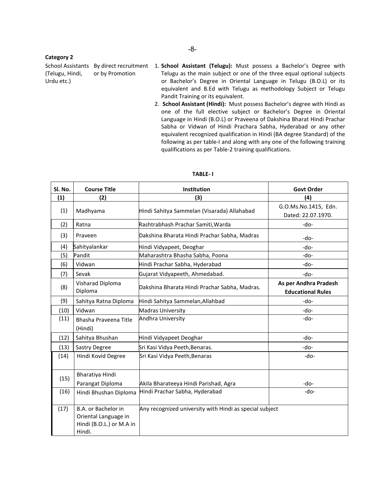#### **Category 2**

(Telugu, Hindi, Urdu etc.) or by Promotion

- School Assistants By direct recruitment 1. **School Assistant (Telugu):** Must possess a Bachelor's Degree with Telugu as the main subject or one of the three equal optional subjects or Bachelor's Degree in Oriental Language in Telugu (B.O.L) or its equivalent and B.Ed with Telugu as methodology Subject or Telugu Pandit Training or its equivalent.
	- 2. **School Assistant (Hindi):** Must possess Bachelor's degree with Hindi as one of the full elective subject or Bachelor's Degree in Oriental Language in Hindi (B.O.L) or Praveena of Dakshina Bharat Hindi Prachar Sabha or Vidwan of Hindi Prachara Sabha, Hyderabad or any other equivalent recognized qualification in Hindi (BA degree Standard) of the following as per table-I and along with any one of the following training qualifications as per Table-2 training qualifications.

| SI. No. | <b>Course Title</b>                                                               | Institution                                             | <b>Govt Order</b>                                 |
|---------|-----------------------------------------------------------------------------------|---------------------------------------------------------|---------------------------------------------------|
| (1)     | (2)                                                                               | (3)                                                     | (4)                                               |
| (1)     | Madhyama                                                                          | Hindi Sahitya Sammelan (Visarada) Allahabad             | G.O.Ms.No.1415, Edn.<br>Dated: 22.07.1970.        |
| (2)     | Ratna                                                                             | Rashtrabhash Prachar Samiti, Warda                      | $-do-$                                            |
| (3)     | Praveen                                                                           | Dakshina Bharata Hindi Prachar Sabha, Madras            | $-do-$                                            |
| (4)     | Sahityalankar                                                                     | Hindi Vidyapeet, Deoghar                                | -do-                                              |
| (5)     | Pandit                                                                            | Maharashtra Bhasha Sabha, Poona                         | -do-                                              |
| (6)     | Vidwan                                                                            | Hindi Prachar Sabha, Hyderabad                          | $-do-$                                            |
| (7)     | Sevak                                                                             | Gujarat Vidyapeeth, Ahmedabad.                          | $-do-$                                            |
| (8)     | Visharad Diploma<br>Diploma                                                       | Dakshina Bharata Hindi Prachar Sabha, Madras.           | As per Andhra Pradesh<br><b>Educational Rules</b> |
| (9)     | Sahitya Ratna Diploma                                                             | Hindi Sahitya Sammelan, Allahbad                        | $-do-$                                            |
| (10)    | Vidwan                                                                            | <b>Madras University</b>                                | $-do-$                                            |
| (11)    | Bhasha Praveena Title<br>(Hindi)                                                  | Andhra University                                       | $-do-$                                            |
| (12)    | Sahitya Bhushan                                                                   | Hindi Vidyapeet Deoghar                                 | -do-                                              |
| (13)    | <b>Sastry Degree</b>                                                              | Sri Kasi Vidya Peeth, Benaras.                          | -do-                                              |
| (14)    | Hindi Kovid Degree                                                                | Sri Kasi Vidya Peeth, Benaras                           | $-do-$                                            |
| (15)    | Bharatiya Hindi<br>Parangat Diploma                                               | Akila Bharateeya Hindi Parishad, Agra                   | -do-                                              |
| (16)    | Hindi Bhushan Diploma                                                             | Hindi Prachar Sabha, Hyderabad                          | $-do-$                                            |
| (17)    | B.A. or Bachelor in<br>Oriental Language in<br>Hindi (B.O.L.) or M.A in<br>Hindi. | Any recognized university with Hindi as special subject |                                                   |

#### **TABLE- I**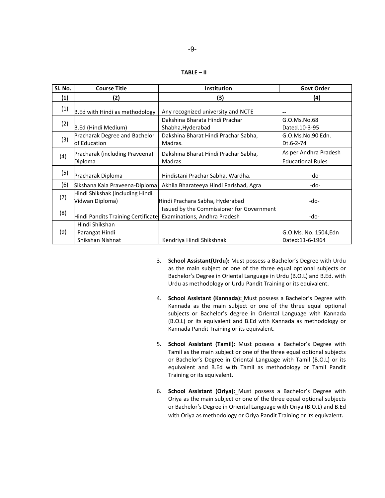| ۰,<br>×<br>۰.<br>w |
|--------------------|
|--------------------|

| $TABLE -$ |  |
|-----------|--|
|-----------|--|

| Sl. No. | <b>Course Title</b>                                  | <b>Institution</b>                                                        | <b>Govt Order</b>                                 |
|---------|------------------------------------------------------|---------------------------------------------------------------------------|---------------------------------------------------|
| (1)     | (2)                                                  | (3)                                                                       | (4)                                               |
| (1)     | B.Ed with Hindi as methodology                       | Any recognized university and NCTE                                        |                                                   |
| (2)     | B.Ed (Hindi Medium)                                  | Dakshina Bharata Hindi Prachar<br>Shabha, Hyderabad                       | G.O.Ms.No.68<br>Dated.10-3-95                     |
| (3)     | Pracharak Degree and Bachelor<br>of Education        | Dakshina Bharat Hindi Prachar Sabha,<br>Madras.                           | G.O.Ms.No.90 Edn.<br>Dt.6-2-74                    |
| (4)     | Pracharak (including Praveena)<br>Diploma            | Dakshina Bharat Hindi Prachar Sabha,<br>Madras.                           | As per Andhra Pradesh<br><b>Educational Rules</b> |
| (5)     | Pracharak Diploma                                    | Hindistani Prachar Sabha, Wardha.                                         | -do-                                              |
| (6)     | Sikshana Kala Praveena-Diploma                       | Akhila Bharateeya Hindi Parishad, Agra                                    | -do-                                              |
| (7)     | Hindi Shikshak (including Hindi<br>Vidwan Diploma)   | Hindi Prachara Sabha, Hyderabad                                           | -do-                                              |
| (8)     | Hindi Pandits Training Certificate                   | Issued by the Commissioner for Government<br>Examinations, Andhra Pradesh | -do-                                              |
| (9)     | Hindi Shikshan<br>Parangat Hindi<br>Shikshan Nishnat | Kendriya Hindi Shikshnak                                                  | G.O.Ms. No. 1504, Edn<br>Dated:11-6-1964          |

- 3. **School Assistant(Urdu):** Must possess a Bachelor's Degree with Urdu as the main subject or one of the three equal optional subjects or Bachelor's Degree in Oriental Language in Urdu (B.O.L) and B.Ed. with Urdu as methodology or Urdu Pandit Training or its equivalent.
- 4. **School Assistant (Kannada):** Must possess a Bachelor's Degree with Kannada as the main subject or one of the three equal optional subjects or Bachelor's degree in Oriental Language with Kannada (B.O.L) or its equivalent and B.Ed with Kannada as methodology or Kannada Pandit Training or its equivalent.
- 5. **School Assistant (Tamil):** Must possess a Bachelor's Degree with Tamil as the main subject or one of the three equal optional subjects or Bachelor's Degree in Oriental Language with Tamil (B.O.L) or its equivalent and B.Ed with Tamil as methodology or Tamil Pandit Training or its equivalent.
- 6. **School Assistant (Oriya):** Must possess a Bachelor's Degree with Oriya as the main subject or one of the three equal optional subjects or Bachelor's Degree in Oriental Language with Oriya (B.O.L) and B.Ed with Oriya as methodology or Oriya Pandit Training or its equivalent.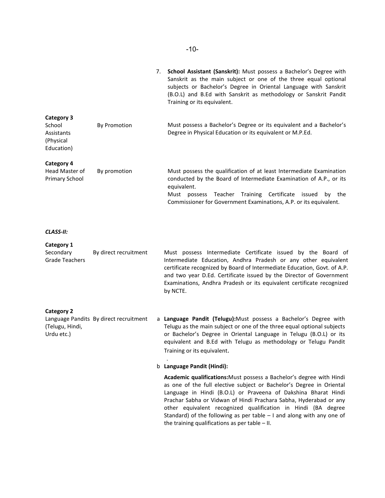|                                                 |                     | Sanskrit as the main subject or one of the three equal optional<br>subjects or Bachelor's Degree in Oriental Language with Sanskrit<br>(B.O.L) and B.Ed with Sanskrit as methodology or Sanskrit Pandit<br>Training or its equivalent. |
|-------------------------------------------------|---------------------|----------------------------------------------------------------------------------------------------------------------------------------------------------------------------------------------------------------------------------------|
| Category 3                                      |                     |                                                                                                                                                                                                                                        |
| School<br>Assistants<br>(Physical<br>Education) | <b>By Promotion</b> | Must possess a Bachelor's Degree or its equivalent and a Bachelor's<br>Degree in Physical Education or its equivalent or M.P.Ed.                                                                                                       |
| Category 4                                      |                     |                                                                                                                                                                                                                                        |
| Head Master of<br><b>Primary School</b>         | By promotion        | Must possess the qualification of at least Intermediate Examination<br>conducted by the Board of Intermediate Examination of A.P., or its<br>equivalent.                                                                               |

-10-

7. **School Assistant (Sanskrit):** Must possess a Bachelor's Degree with

Must possess Teacher Training Certificate issued by the Commissioner for Government Examinations, A.P. or its equivalent.

*CLASS-II:* 

# **Category 1**

| Secondary             | By direct recruitment | Must possess Intermediate Certificate issued by the Board of             |
|-----------------------|-----------------------|--------------------------------------------------------------------------|
| <b>Grade Teachers</b> |                       | Intermediate Education, Andhra Pradesh or any other equivalent           |
|                       |                       | certificate recognized by Board of Intermediate Education, Govt. of A.P. |
|                       |                       | and two year D.Ed. Certificate issued by the Director of Government      |
|                       |                       | Examinations, Andhra Pradesh or its equivalent certificate recognized    |
|                       |                       | by NCTE.                                                                 |

#### **Category 2**

Language Pandits By direct recruitment (Telugu, Hindi, Urdu etc.) a Language Pandit (Telugu):Must possess a Bachelor's Degree with Telugu as the main subject or one of the three equal optional subjects or Bachelor's Degree in Oriental Language in Telugu (B.O.L) or its equivalent and B.Ed with Telugu as methodology or Telugu Pandit Training or its equivalent.

#### b **Language Pandit (Hindi):**

.

**Academic qualifications:**Must possess a Bachelor's degree with Hindi as one of the full elective subject or Bachelor's Degree in Oriental Language in Hindi (B.O.L) or Praveena of Dakshina Bharat Hindi Prachar Sabha or Vidwan of Hindi Prachara Sabha, Hyderabad or any other equivalent recognized qualification in Hindi (BA degree Standard) of the following as per table  $-1$  and along with any one of the training qualifications as per table – II.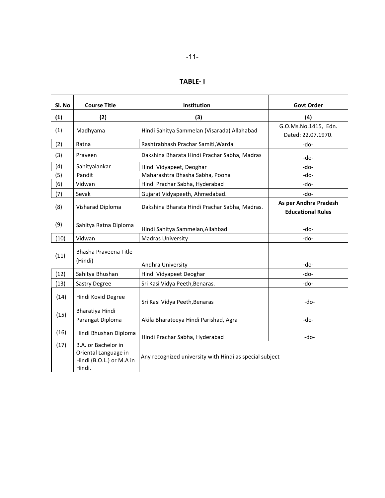# **TABLE- I**

| Sl. No | <b>Course Title</b>                                                               | <b>Institution</b>                                      | <b>Govt Order</b>                                 |
|--------|-----------------------------------------------------------------------------------|---------------------------------------------------------|---------------------------------------------------|
| (1)    | (2)                                                                               | (3)                                                     | (4)                                               |
| (1)    | Madhyama                                                                          | Hindi Sahitya Sammelan (Visarada) Allahabad             | G.O.Ms.No.1415, Edn.<br>Dated: 22.07.1970.        |
| (2)    | Ratna                                                                             | Rashtrabhash Prachar Samiti, Warda                      | -do-                                              |
| (3)    | Praveen                                                                           | Dakshina Bharata Hindi Prachar Sabha, Madras            | -do-                                              |
| (4)    | Sahityalankar                                                                     | Hindi Vidyapeet, Deoghar                                | -do-                                              |
| (5)    | Pandit                                                                            | Maharashtra Bhasha Sabha, Poona                         | -do-                                              |
| (6)    | Vidwan                                                                            | Hindi Prachar Sabha, Hyderabad                          | -do-                                              |
| (7)    | Sevak                                                                             | Gujarat Vidyapeeth, Ahmedabad.                          | -do-                                              |
| (8)    | Visharad Diploma                                                                  | Dakshina Bharata Hindi Prachar Sabha, Madras.           | As per Andhra Pradesh<br><b>Educational Rules</b> |
| (9)    | Sahitya Ratna Diploma                                                             | Hindi Sahitya Sammelan, Allahbad                        | $-do-$                                            |
| (10)   | Vidwan                                                                            | <b>Madras University</b>                                | -do-                                              |
| (11)   | Bhasha Praveena Title<br>(Hindi)                                                  | Andhra University                                       | $-do-$                                            |
| (12)   | Sahitya Bhushan                                                                   | Hindi Vidyapeet Deoghar                                 | -do-                                              |
| (13)   | Sastry Degree                                                                     | Sri Kasi Vidya Peeth, Benaras.                          | -do-                                              |
| (14)   | Hindi Kovid Degree                                                                | Sri Kasi Vidya Peeth, Benaras                           | $-do-$                                            |
| (15)   | Bharatiya Hindi<br>Parangat Diploma                                               | Akila Bharateeya Hindi Parishad, Agra                   | -do-                                              |
| (16)   | Hindi Bhushan Diploma                                                             | Hindi Prachar Sabha, Hyderabad                          | -do-                                              |
| (17)   | B.A. or Bachelor in<br>Oriental Language in<br>Hindi (B.O.L.) or M.A in<br>Hindi. | Any recognized university with Hindi as special subject |                                                   |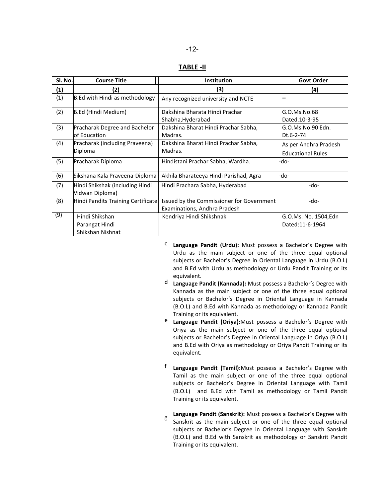#### **TABLE -II**

| Sl. No. | <b>Course Title</b>                                  | <b>Institution</b>                                                        | <b>Govt Order</b>                                 |
|---------|------------------------------------------------------|---------------------------------------------------------------------------|---------------------------------------------------|
| (1)     | (2)                                                  | (3)                                                                       | (4)                                               |
| (1)     | B.Ed with Hindi as methodology                       | Any recognized university and NCTE                                        | --                                                |
| (2)     | B.Ed (Hindi Medium)                                  | Dakshina Bharata Hindi Prachar<br>Shabha, Hyderabad                       | G.O.Ms.No.68<br>Dated.10-3-95                     |
| (3)     | Pracharak Degree and Bachelor<br>of Education        | Dakshina Bharat Hindi Prachar Sabha,<br>Madras.                           | G.O.Ms.No.90 Edn.<br>Dt.6-2-74                    |
| (4)     | Pracharak (including Praveena)<br>Diploma            | Dakshina Bharat Hindi Prachar Sabha,<br>Madras.                           | As per Andhra Pradesh<br><b>Educational Rules</b> |
| (5)     | Pracharak Diploma                                    | Hindistani Prachar Sabha, Wardha.                                         | -do-                                              |
| (6)     | Sikshana Kala Praveena-Diploma                       | Akhila Bharateeya Hindi Parishad, Agra                                    | -do-                                              |
| (7)     | Hindi Shikshak (including Hindi)<br>Vidwan Diploma)  | Hindi Prachara Sabha, Hyderabad                                           | -do-                                              |
| (8)     | Hindi Pandits Training Certificate                   | Issued by the Commissioner for Government<br>Examinations, Andhra Pradesh | -do-                                              |
| (9)     | Hindi Shikshan<br>Parangat Hindi<br>Shikshan Nishnat | Kendriya Hindi Shikshnak                                                  | G.O.Ms. No. 1504,Edn<br>Dated:11-6-1964           |

- c **Language Pandit (Urdu):** Must possess a Bachelor's Degree with Urdu as the main subject or one of the three equal optional subjects or Bachelor's Degree in Oriental Language in Urdu (B.O.L) and B.Ed with Urdu as methodology or Urdu Pandit Training or its equivalent.
- d **Language Pandit (Kannada):** Must possess a Bachelor's Degree with Kannada as the main subject or one of the three equal optional subjects or Bachelor's Degree in Oriental Language in Kannada (B.O.L) and B.Ed with Kannada as methodology or Kannada Pandit Training or its equivalent.
- e **Language Pandit (Oriya):**Must possess a Bachelor's Degree with Oriya as the main subject or one of the three equal optional subjects or Bachelor's Degree in Oriental Language in Oriya (B.O.L) and B.Ed with Oriya as methodology or Oriya Pandit Training or its equivalent.
- f **Language Pandit (Tamil):**Must possess a Bachelor's Degree with Tamil as the main subject or one of the three equal optional subjects or Bachelor's Degree in Oriental Language with Tamil (B.O.L) and B.Ed with Tamil as methodology or Tamil Pandit Training or its equivalent.
- <sup>g</sup> **Language Pandit (Sanskrit):** Must possess a Bachelor's Degree with Sanskrit as the main subject or one of the three equal optional subjects or Bachelor's Degree in Oriental Language with Sanskrit (B.O.L) and B.Ed with Sanskrit as methodology or Sanskrit Pandit Training or its equivalent.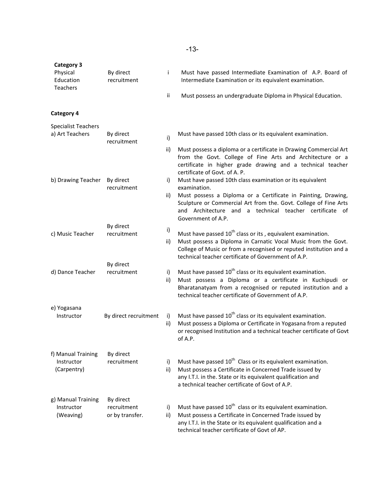| <b>Category 3</b><br>Physical<br>Education<br><b>Teachers</b> | By direct<br>recruitment       | j.        | Must have passed Intermediate Examination of A.P. Board of<br>Intermediate Examination or its equivalent examination.                                                                                                                                                 |
|---------------------------------------------------------------|--------------------------------|-----------|-----------------------------------------------------------------------------------------------------------------------------------------------------------------------------------------------------------------------------------------------------------------------|
|                                                               |                                | Ϊİ        | Must possess an undergraduate Diploma in Physical Education.                                                                                                                                                                                                          |
| <b>Category 4</b>                                             |                                |           |                                                                                                                                                                                                                                                                       |
| <b>Specialist Teachers</b>                                    |                                |           |                                                                                                                                                                                                                                                                       |
| a) Art Teachers                                               | By direct<br>recruitment       | i)        | Must have passed 10th class or its equivalent examination.                                                                                                                                                                                                            |
|                                                               |                                | ii)       | Must possess a diploma or a certificate in Drawing Commercial Art<br>from the Govt. College of Fine Arts and Architecture or a<br>certificate in higher grade drawing and a technical teacher<br>certificate of Govt. of A. P.                                        |
| b) Drawing Teacher                                            | By direct<br>recruitment       | i)        | Must have passed 10th class examination or its equivalent<br>examination.                                                                                                                                                                                             |
|                                                               |                                | ii)       | Must possess a Diploma or a Certificate in Painting, Drawing,<br>Sculpture or Commercial Art from the. Govt. College of Fine Arts<br>and Architecture and a technical teacher certificate of<br>Government of A.P.                                                    |
|                                                               | By direct                      | i)        |                                                                                                                                                                                                                                                                       |
| c) Music Teacher                                              | recruitment                    | ii)       | Must have passed 10 <sup>th</sup> class or its, equivalent examination.<br>Must possess a Diploma in Carnatic Vocal Music from the Govt.<br>College of Music or from a recognised or reputed institution and a<br>technical teacher certificate of Government of A.P. |
|                                                               | By direct                      |           |                                                                                                                                                                                                                                                                       |
| d) Dance Teacher                                              | recruitment                    | i)<br>ii) | Must have passed 10 <sup>th</sup> class or its equivalent examination.<br>Must possess a Diploma or a certificate in Kuchipudi or<br>Bharatanatyam from a recognised or reputed institution and a<br>technical teacher certificate of Government of A.P.              |
| e) Yogasana                                                   |                                |           |                                                                                                                                                                                                                                                                       |
| Instructor                                                    | By direct recruitment          | i)<br>ii) | Must have passed 10 <sup>th</sup> class or its equivalent examination.<br>Must possess a Diploma or Certificate in Yogasana from a reputed<br>or recognised Institution and a technical teacher certificate of Govt<br>of A.P.                                        |
| f) Manual Training                                            | By direct                      |           |                                                                                                                                                                                                                                                                       |
| Instructor<br>(Carpentry)                                     | recruitment                    | i)<br>ii) | Must have passed 10 <sup>th</sup> Class or its equivalent examination.<br>Must possess a Certificate in Concerned Trade issued by<br>any I.T.I. in the. State or its equivalent qualification and<br>a technical teacher certificate of Govt of A.P.                  |
| g) Manual Training                                            | By direct                      |           |                                                                                                                                                                                                                                                                       |
| Instructor<br>(Weaving)                                       | recruitment<br>or by transfer. | i)<br>ii) | Must have passed 10 <sup>th</sup> class or its equivalent examination.<br>Must possess a Certificate in Concerned Trade issued by<br>any I.T.I. in the State or its equivalent qualification and a<br>technical teacher certificate of Govt of AP.                    |

-13-